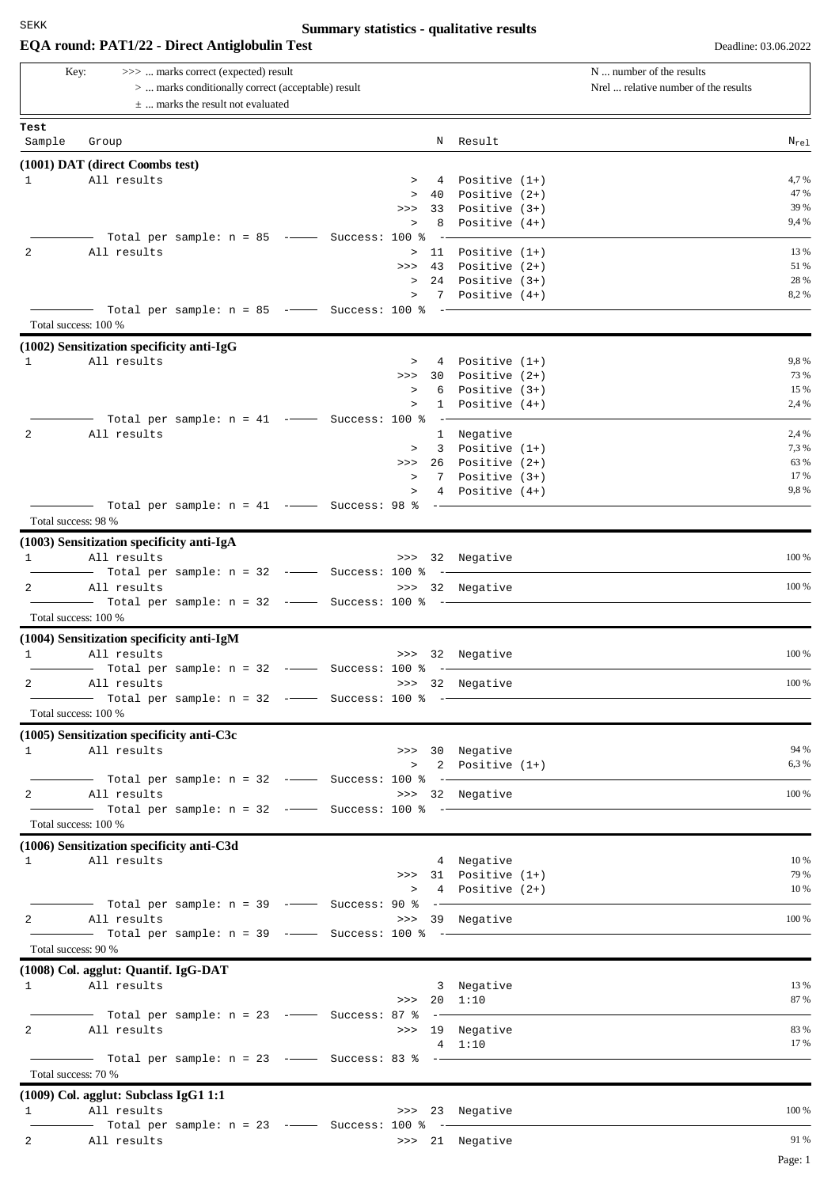## **Summary statistics - qualitative results**

|                                | EQA round: PAT1/22 - Direct Antiglobulin Test                                                                                      |                    |                                 |                                                         | Deadline: 03.06.2022                                             |
|--------------------------------|------------------------------------------------------------------------------------------------------------------------------------|--------------------|---------------------------------|---------------------------------------------------------|------------------------------------------------------------------|
| Key:                           | >>>  marks correct (expected) result<br>>  marks conditionally correct (acceptable) result<br>$\pm$ marks the result not evaluated |                    |                                 |                                                         | N  number of the results<br>Nrel  relative number of the results |
| Test                           |                                                                                                                                    |                    |                                 |                                                         |                                                                  |
| Sample                         | Group                                                                                                                              |                    | N                               | Result                                                  | $N_{\text{rel}}$                                                 |
|                                | (1001) DAT (direct Coombs test)                                                                                                    |                    |                                 |                                                         |                                                                  |
| $\mathbf{1}$                   | All results                                                                                                                        |                    | 4<br>$\geq$                     | Positive $(1+)$                                         | 4,7 %                                                            |
|                                |                                                                                                                                    |                    | 40<br>$\, > \,$<br>33<br>>>     | Positive $(2+)$<br>Positive $(3+)$                      | 47 %<br>39 %                                                     |
|                                |                                                                                                                                    |                    | 8<br>$\, > \,$                  | Positive $(4+)$                                         | 9,4 %                                                            |
|                                | Total per sample: $n = 85$ -- Success: 100 %                                                                                       |                    |                                 |                                                         |                                                                  |
| 2                              | All results                                                                                                                        |                    | 11<br>$\geq$                    | Positive $(1+)$                                         | 13 %                                                             |
|                                |                                                                                                                                    |                    | 43<br>>>                        | Positive $(2+)$                                         | 51 %                                                             |
|                                |                                                                                                                                    |                    | $\, > \,$<br>$\, >$             | 24 Positive (3+)<br>7 Positive (4+)                     | 28 %<br>8,2%                                                     |
|                                | Total per sample: $n = 85$ -- Success: 100 %                                                                                       |                    |                                 | $\sim$ $\sim$ $\sim$ $\sim$ $\sim$ $\sim$ $\sim$ $\sim$ |                                                                  |
| Total success: 100 %           |                                                                                                                                    |                    |                                 |                                                         |                                                                  |
|                                | (1002) Sensitization specificity anti-IgG                                                                                          |                    |                                 |                                                         |                                                                  |
| 1                              | All results                                                                                                                        |                    | $\geq$<br>4                     | Positive $(1+)$                                         | 9,8%                                                             |
|                                |                                                                                                                                    |                    | 30<br>>><br>6                   | Positive $(2+)$                                         | 73 %<br>15 %                                                     |
|                                |                                                                                                                                    |                    | $\,>$<br>$\, >$<br>$\mathbf{1}$ | Positive $(3+)$<br>Positive $(4+)$                      | 2,4 %                                                            |
|                                | Total per sample: $n = 41$ -- Success: 100 %                                                                                       |                    |                                 |                                                         |                                                                  |
| 2                              | All results                                                                                                                        |                    |                                 | 1 Negative                                              | 2,4 %                                                            |
|                                |                                                                                                                                    |                    | $\mathbf{3}$<br>$\geq$          | Positive $(1+)$                                         | 7,3 %                                                            |
|                                |                                                                                                                                    |                    | 26<br>>>                        | Positive $(2+)$                                         | 63 %                                                             |
|                                |                                                                                                                                    |                    | 7<br>$\, >$<br>4<br>$\, >$      | Positive $(3+)$<br>Positive (4+)                        | 17 %<br>9,8%                                                     |
|                                | Total per sample: $n = 41$ -- Success: 98 %                                                                                        |                    | $-$                             |                                                         |                                                                  |
| Total success: 98 %            |                                                                                                                                    |                    |                                 |                                                         |                                                                  |
|                                | (1003) Sensitization specificity anti-IgA                                                                                          |                    |                                 |                                                         |                                                                  |
| 1                              | All results                                                                                                                        |                    |                                 | >>> 32 Negative                                         | 100 %                                                            |
|                                | Total per sample: $n = 32$ -- Success: 100 %                                                                                       |                    |                                 |                                                         |                                                                  |
| 2                              | All results                                                                                                                        |                    |                                 | >>> 32 Negative                                         | 100 %                                                            |
| Total success: 100 %           |                                                                                                                                    |                    |                                 |                                                         |                                                                  |
|                                | (1004) Sensitization specificity anti-IgM                                                                                          |                    |                                 |                                                         |                                                                  |
| 1                              | All results                                                                                                                        |                    |                                 | >>> 32 Negative                                         | 100 %                                                            |
|                                | - Total per sample: n = 32 --                                                                                                      | $-$ Success: 100 % |                                 |                                                         |                                                                  |
| 2                              | All results                                                                                                                        |                    |                                 | >>> 32 Negative                                         | 100 %                                                            |
|                                |                                                                                                                                    |                    |                                 |                                                         |                                                                  |
|                                | Total success: 100 %                                                                                                               |                    |                                 |                                                         |                                                                  |
|                                | $(1005)$ Sensitization specificity anti-C3c<br>1 All results                                                                       |                    |                                 | >>> 30 Negative                                         | 94 %                                                             |
|                                |                                                                                                                                    |                    |                                 | $> 2$ Positive $(1+)$                                   | 6,3 %                                                            |
|                                |                                                                                                                                    |                    |                                 |                                                         |                                                                  |
| $2 \left( \frac{1}{2} \right)$ | All results                                                                                                                        |                    |                                 | >>> 32 Negative                                         | 100 %                                                            |
|                                |                                                                                                                                    |                    |                                 |                                                         |                                                                  |
|                                | Total success: 100 %                                                                                                               |                    |                                 |                                                         |                                                                  |
|                                | (1006) Sensitization specificity anti-C3d<br>1 All results                                                                         |                    |                                 | 4 Negative                                              | 10 %                                                             |
|                                |                                                                                                                                    |                    |                                 | $\gg$ 31 Positive $(1+)$                                | 79 %                                                             |
|                                |                                                                                                                                    |                    |                                 | > 4 Positive (2+)                                       | 10 %                                                             |
|                                |                                                                                                                                    |                    |                                 |                                                         |                                                                  |
|                                | 2 All results                                                                                                                      |                    |                                 | >>> 39 Negative                                         | 100 %                                                            |
| Total success: 90 %            |                                                                                                                                    |                    |                                 |                                                         |                                                                  |
|                                | (1008) Col. agglut: Quantif. IgG-DAT                                                                                               |                    |                                 |                                                         |                                                                  |
|                                | 1 All results                                                                                                                      |                    |                                 | 3 Negative                                              | 13 %                                                             |
|                                |                                                                                                                                    |                    | >> 20 1:10                      |                                                         | 87 %                                                             |
|                                |                                                                                                                                    |                    |                                 |                                                         |                                                                  |
| $2 \left( \frac{1}{2} \right)$ | All results                                                                                                                        |                    |                                 | >>> 19 Negative                                         | 83 %                                                             |
|                                |                                                                                                                                    |                    |                                 | 4 1:10                                                  | 17 %                                                             |
| Total success: 70 %            |                                                                                                                                    |                    |                                 |                                                         |                                                                  |
|                                |                                                                                                                                    |                    |                                 |                                                         |                                                                  |
| $\mathbf{1}$                   | (1009) Col. agglut: Subclass IgG1 1:1<br>All results                                                                               |                    |                                 | >>> 23 Negative                                         | 100 %                                                            |
|                                | - Total per sample: $n = 23$ -- Success: 100 % -                                                                                   |                    |                                 |                                                         |                                                                  |
| $2 \qquad \qquad$              | All results                                                                                                                        |                    |                                 | >>> 21 Negative                                         | 91 %                                                             |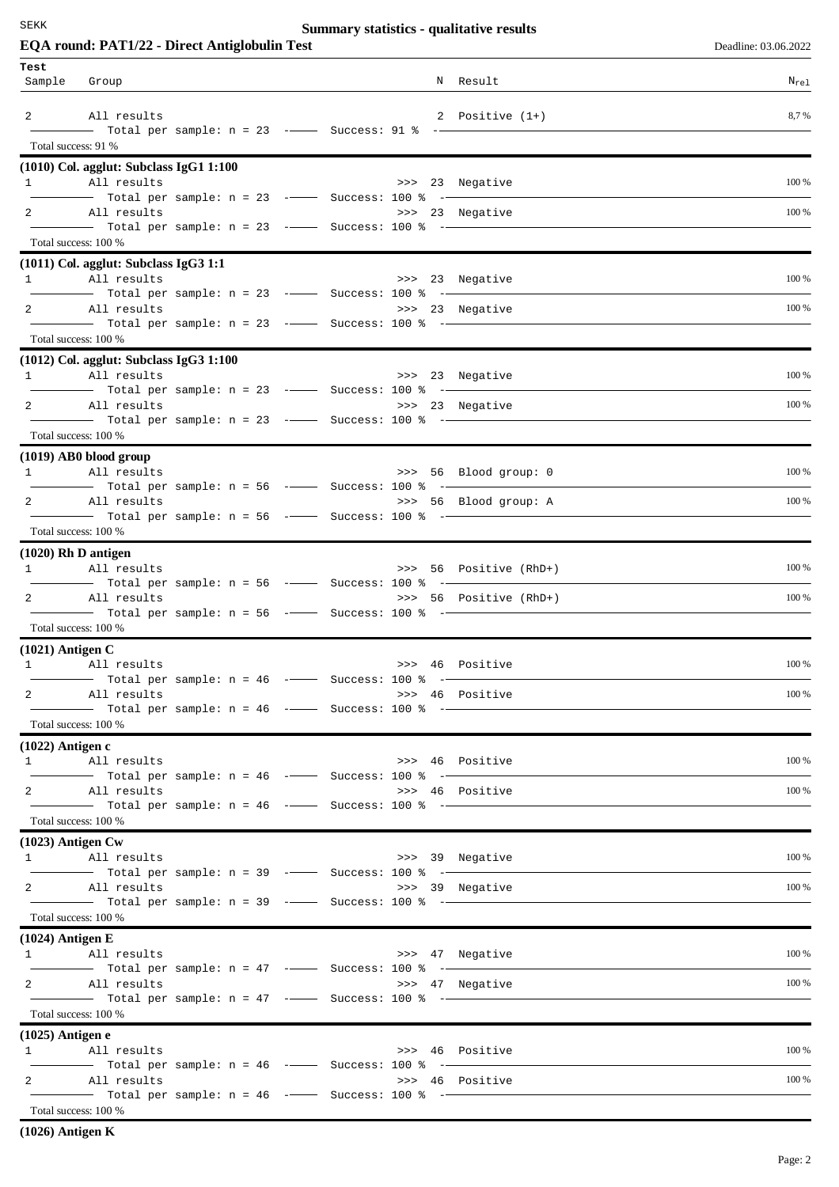SEKK

## **Summary statistics - qualitative results**

| EQA round: PAT1/22 - Direct Antiglobulin Test                                |                                                         |  |                 |                                                                                                                                    | Deadline: 03.06.2022 |
|------------------------------------------------------------------------------|---------------------------------------------------------|--|-----------------|------------------------------------------------------------------------------------------------------------------------------------|----------------------|
| Test                                                                         |                                                         |  |                 |                                                                                                                                    |                      |
| Sample<br>Group                                                              |                                                         |  |                 | N Result                                                                                                                           | $N_{\text{rel}}$     |
| 2 All results                                                                |                                                         |  |                 | 2 Positive (1+)                                                                                                                    | 8,7%                 |
|                                                                              |                                                         |  |                 |                                                                                                                                    |                      |
| Total success: 91 %                                                          |                                                         |  |                 |                                                                                                                                    |                      |
| $(1010)$ Col. agglut: Subclass IgG1 1:100<br>All results<br>$1 \quad \cdots$ |                                                         |  |                 | >>> 23 Negative                                                                                                                    | 100 %                |
|                                                                              | Total per sample: n = 23 --------- Success: 100 % ----- |  |                 |                                                                                                                                    |                      |
| 2 All results                                                                |                                                         |  | >>> 23 Negative | $\frac{1}{1}$ Total per sample: n = 23 - $\frac{1}{1}$ Success: 100 % - $\frac{1}{1}$                                              | 100 %                |
| Total success: 100 %                                                         |                                                         |  |                 |                                                                                                                                    |                      |
| $(1011)$ Col. agglut: Subclass IgG3 1:1                                      |                                                         |  |                 |                                                                                                                                    |                      |
| 1 All results                                                                |                                                         |  |                 | >>> 23 Negative                                                                                                                    | 100 %                |
| $\mathbf{2}$<br>All results                                                  |                                                         |  |                 | >>> 23 Negative                                                                                                                    | 100 %                |
| Total per sample: n = 23 -- Success: 100 % -                                 |                                                         |  |                 |                                                                                                                                    |                      |
| Total success: 100 %                                                         |                                                         |  |                 |                                                                                                                                    |                      |
| $(1012)$ Col. agglut: Subclass IgG3 1:100                                    |                                                         |  |                 |                                                                                                                                    |                      |
| 1 All results                                                                |                                                         |  |                 | >>> 23 Negative                                                                                                                    | 100 %                |
| 2 All results                                                                |                                                         |  |                 | >>> 23 Negative                                                                                                                    | 100 %                |
|                                                                              |                                                         |  |                 |                                                                                                                                    |                      |
| Total success: 100 %                                                         |                                                         |  |                 |                                                                                                                                    |                      |
| (1019) AB0 blood group<br>1 All results                                      |                                                         |  |                 | >>> 56 Blood group: 0                                                                                                              | 100 %                |
|                                                                              |                                                         |  |                 |                                                                                                                                    |                      |
| 2 All results                                                                |                                                         |  |                 | >>> 56 Blood group: A<br>$\frac{1}{1}$ Total per sample: n = 56 -- Success: 100 % --                                               | 100 %                |
| Total success: 100 %                                                         |                                                         |  |                 |                                                                                                                                    |                      |
| $(1020)$ Rh D antigen                                                        |                                                         |  |                 |                                                                                                                                    |                      |
| 1 All results                                                                |                                                         |  |                 | >>> 56 Positive (RhD+)                                                                                                             | 100 %                |
| 2 All results                                                                |                                                         |  |                 | >>> 56 Positive (RhD+)                                                                                                             | 100 %                |
|                                                                              |                                                         |  |                 |                                                                                                                                    |                      |
| Total success: 100 %                                                         |                                                         |  |                 |                                                                                                                                    |                      |
| $(1021)$ Antigen C<br>1 All results                                          |                                                         |  |                 | >>> 46 Positive                                                                                                                    | 100 %                |
|                                                                              |                                                         |  |                 | $\begin{array}{ccccccccc}\n-\text{---} & \text{Total per sample: n = 46} & \text{---} & \text{Success: 100 & & ----}\n\end{array}$ |                      |
| 2 All results                                                                |                                                         |  |                 | >>> 46 Positive                                                                                                                    | 100 %                |
| Total success: 100 %                                                         |                                                         |  |                 |                                                                                                                                    |                      |
| $(1022)$ Antigen c                                                           |                                                         |  |                 |                                                                                                                                    |                      |
| 1 All results                                                                |                                                         |  |                 | >>> 46 Positive                                                                                                                    | 100 %                |
| $\mathbf{2}$<br>All results                                                  | - Total per sample: $n = 46$ -- Success: 100 % --       |  |                 | >>> 46 Positive                                                                                                                    | 100 %                |
| Total per sample: n = 46 -- Success: 100 % --                                |                                                         |  |                 |                                                                                                                                    |                      |
| Total success: 100 %                                                         |                                                         |  |                 |                                                                                                                                    |                      |
| $(1023)$ Antigen Cw                                                          |                                                         |  |                 |                                                                                                                                    |                      |
| 1 All results<br>$\frac{1}{1}$ Total per sample: n = 39 -- Success: 100 % -  |                                                         |  |                 | >>> 39 Negative                                                                                                                    | 100 %                |
| 2 All results                                                                |                                                         |  |                 | >>> 39 Negative                                                                                                                    | 100 %                |
| Total success: 100 %                                                         |                                                         |  |                 |                                                                                                                                    |                      |
| $(1024)$ Antigen E                                                           |                                                         |  |                 |                                                                                                                                    |                      |
| 1 All results                                                                |                                                         |  |                 | >>> 47 Negative                                                                                                                    | 100 %                |
|                                                                              |                                                         |  |                 |                                                                                                                                    |                      |
| 2 All results                                                                |                                                         |  |                 | >>> 47 Negative                                                                                                                    | 100 %                |
| Total success: 100 %                                                         |                                                         |  |                 |                                                                                                                                    |                      |
| (1025) Antigen e                                                             |                                                         |  |                 |                                                                                                                                    |                      |
| 1 All results                                                                |                                                         |  |                 | >>> 46 Positive                                                                                                                    | 100 %                |
| 2 All results                                                                |                                                         |  |                 | >>> 46 Positive                                                                                                                    | 100 %                |
|                                                                              |                                                         |  |                 |                                                                                                                                    |                      |
| Total success: 100 %                                                         |                                                         |  |                 |                                                                                                                                    |                      |

**(1026) Antigen K**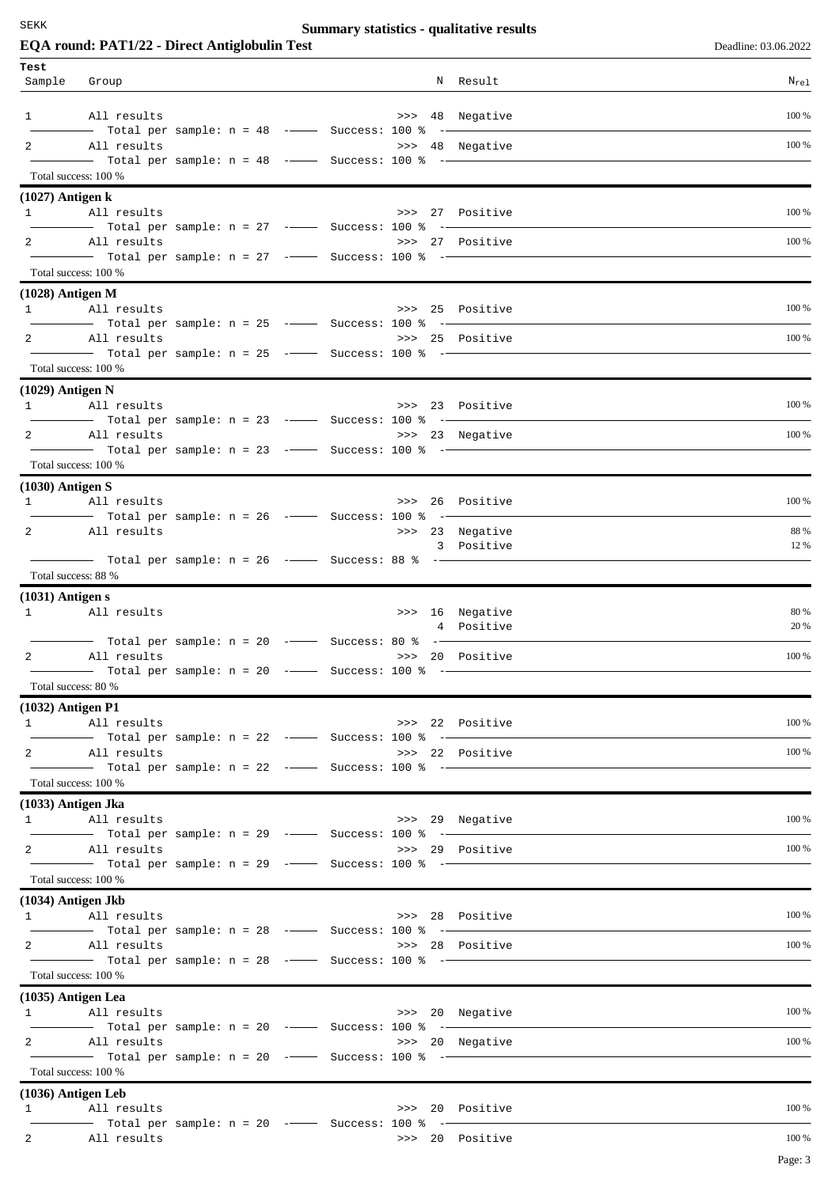SEKK

## **Summary statistics - qualitative results**

|                      | EQA round: PAT1/22 - Direct Antiglobulin Test                                                                          |                                                    |  |                 | Deadline: 03.06.2022 |
|----------------------|------------------------------------------------------------------------------------------------------------------------|----------------------------------------------------|--|-----------------|----------------------|
| Test                 |                                                                                                                        |                                                    |  |                 |                      |
| Sample Group         |                                                                                                                        |                                                    |  | N Result        | $N_{re1}$            |
|                      | 1 All results                                                                                                          |                                                    |  | >>> 48 Negative | 100 %                |
|                      | - Total per sample: $n = 48$ -- Success: 100 % -<br>2 All results                                                      |                                                    |  | >>> 48 Negative | 100 %                |
|                      |                                                                                                                        |                                                    |  |                 |                      |
|                      | Total success: 100 %                                                                                                   |                                                    |  |                 |                      |
| $(1027)$ Antigen k   | 1 All results                                                                                                          |                                                    |  |                 | 100 %                |
|                      |                                                                                                                        |                                                    |  | >>> 27 Positive |                      |
|                      | 2 All results                                                                                                          |                                                    |  | >>> 27 Positive | 100 %                |
| Total success: 100 % |                                                                                                                        |                                                    |  |                 |                      |
| $(1028)$ Antigen M   |                                                                                                                        |                                                    |  |                 |                      |
|                      | 1 All results                                                                                                          |                                                    |  | >>> 25 Positive | 100 %                |
|                      | Total per sample: n = 25 ------- Success: 100 % --------<br>2 All results                                              |                                                    |  | >>> 25 Positive | 100 %                |
|                      | $\overline{\phantom{1}}$ Total per sample: n = 25 - $\overline{\phantom{1}}$ Success: 100 % - $\overline{\phantom{1}}$ |                                                    |  |                 |                      |
|                      | Total success: 100 %                                                                                                   |                                                    |  |                 |                      |
| (1029) Antigen N     |                                                                                                                        |                                                    |  |                 | 100 %                |
|                      | 1 All results<br>Total per sample: $n = 23$ --- Success: 100 % ---                                                     |                                                    |  | >>> 23 Positive |                      |
| $\mathbf{2}$         | All results                                                                                                            |                                                    |  | >>> 23 Negative | 100 %                |
| Total success: 100 % |                                                                                                                        |                                                    |  |                 |                      |
| $(1030)$ Antigen S   |                                                                                                                        |                                                    |  |                 |                      |
|                      | 1 All results                                                                                                          |                                                    |  | >>> 26 Positive | 100 %                |
|                      | 2 All results                                                                                                          |                                                    |  | >>> 23 Negative | 88 %                 |
|                      |                                                                                                                        |                                                    |  | 3 Positive      | 12 %                 |
| Total success: 88 %  |                                                                                                                        |                                                    |  |                 |                      |
| $(1031)$ Antigen s   |                                                                                                                        |                                                    |  |                 |                      |
|                      | 1 All results                                                                                                          |                                                    |  | >>> 16 Negative | 80 %                 |
|                      | Total per sample: n = 20 -- Success: 80 % --                                                                           |                                                    |  | 4 Positive      | 20 %                 |
|                      | 2 All results                                                                                                          |                                                    |  | >>> 20 Positive | 100 %                |
|                      |                                                                                                                        | - Total per sample: $n = 20$ --- Success: 100 % -- |  |                 |                      |
| Total success: 80 %  |                                                                                                                        |                                                    |  |                 |                      |
| $(1032)$ Antigen P1  | 1 All results                                                                                                          |                                                    |  | >>> 22 Positive | 100 %                |
|                      | Total per sample: $n = 22$ -- Success: 100 % -                                                                         |                                                    |  |                 |                      |
|                      | 2 All results<br>- Total per sample: $n = 22$ -- Success: 100 % --                                                     |                                                    |  | >>> 22 Positive | 100 %                |
|                      | Total success: 100 %                                                                                                   |                                                    |  |                 |                      |
| (1033) Antigen Jka   |                                                                                                                        |                                                    |  |                 |                      |
|                      | 1 All results                                                                                                          |                                                    |  | >>> 29 Negative | 100 %                |
| $2^{\circ}$          | All results                                                                                                            |                                                    |  | >>> 29 Positive | 100 %                |
|                      | Total per sample: n = 29 - Success: 100 % -                                                                            |                                                    |  |                 |                      |
|                      | Total success: 100 %<br>(1034) Antigen Jkb                                                                             |                                                    |  |                 |                      |
|                      | 1 All results                                                                                                          |                                                    |  | >>> 28 Positive | 100 %                |
|                      | $\frac{1}{1}$ Total per sample: n = 28 - $\frac{1}{1}$ Success: 100 % - $\frac{1}{1}$                                  |                                                    |  |                 |                      |
|                      | 2 All results                                                                                                          |                                                    |  | >>> 28 Positive | 100 %                |
|                      | Total success: 100 %                                                                                                   |                                                    |  |                 |                      |
| $(1035)$ Antigen Lea |                                                                                                                        |                                                    |  |                 |                      |
|                      | 1 All results                                                                                                          |                                                    |  | >>> 20 Negative | 100 %                |
|                      | 2 All results                                                                                                          |                                                    |  | >>> 20 Negative | 100 %                |
| Total success: 100 % | Total per sample: n = 20 -- Success: 100 % --                                                                          |                                                    |  |                 |                      |
| (1036) Antigen Leb   |                                                                                                                        |                                                    |  |                 |                      |
|                      | 1 All results                                                                                                          |                                                    |  | >>> 20 Positive | 100 %                |
|                      | 2 All results                                                                                                          |                                                    |  | >>> 20 Positive | 100 %                |
|                      |                                                                                                                        |                                                    |  |                 | Page: 3              |
|                      |                                                                                                                        |                                                    |  |                 |                      |